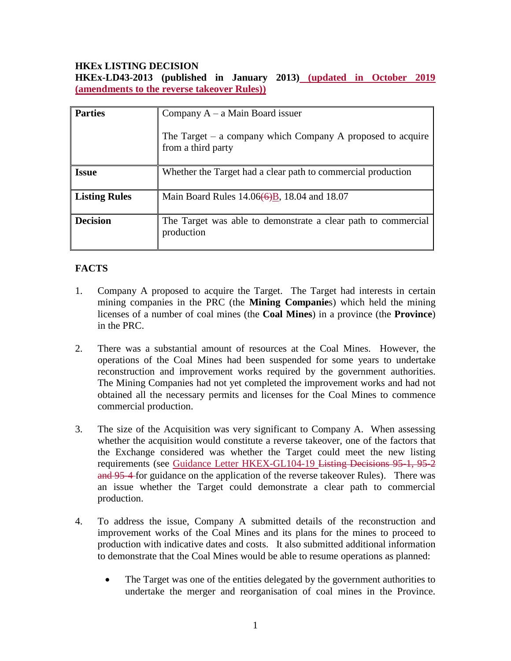# **HKEx LISTING DECISION**

**HKEx-LD43-2013 (published in January 2013) (updated in October 2019 (amendments to the reverse takeover Rules))**

| <b>Parties</b>       | Company $A - a$ Main Board issuer<br>The Target $-$ a company which Company A proposed to acquire<br>from a third party |
|----------------------|-------------------------------------------------------------------------------------------------------------------------|
| <b>Issue</b>         | Whether the Target had a clear path to commercial production                                                            |
| <b>Listing Rules</b> | Main Board Rules $14.06(6)B$ , 18.04 and 18.07                                                                          |
| <b>Decision</b>      | The Target was able to demonstrate a clear path to commercial<br>production                                             |

# **FACTS**

- 1. Company A proposed to acquire the Target. The Target had interests in certain mining companies in the PRC (the **Mining Companie**s) which held the mining licenses of a number of coal mines (the **Coal Mines**) in a province (the **Province**) in the PRC.
- 2. There was a substantial amount of resources at the Coal Mines. However, the operations of the Coal Mines had been suspended for some years to undertake reconstruction and improvement works required by the government authorities. The Mining Companies had not yet completed the improvement works and had not obtained all the necessary permits and licenses for the Coal Mines to commence commercial production.
- 3. The size of the Acquisition was very significant to Company A. When assessing whether the acquisition would constitute a reverse takeover, one of the factors that the Exchange considered was whether the Target could meet the new listing requirements (see Guidance Letter HKEX-GL104-19 Listing Decisions 95-1, 95-2 and 95-4 for guidance on the application of the reverse takeover Rules). There was an issue whether the Target could demonstrate a clear path to commercial production.
- 4. To address the issue, Company A submitted details of the reconstruction and improvement works of the Coal Mines and its plans for the mines to proceed to production with indicative dates and costs. It also submitted additional information to demonstrate that the Coal Mines would be able to resume operations as planned:
	- The Target was one of the entities delegated by the government authorities to undertake the merger and reorganisation of coal mines in the Province.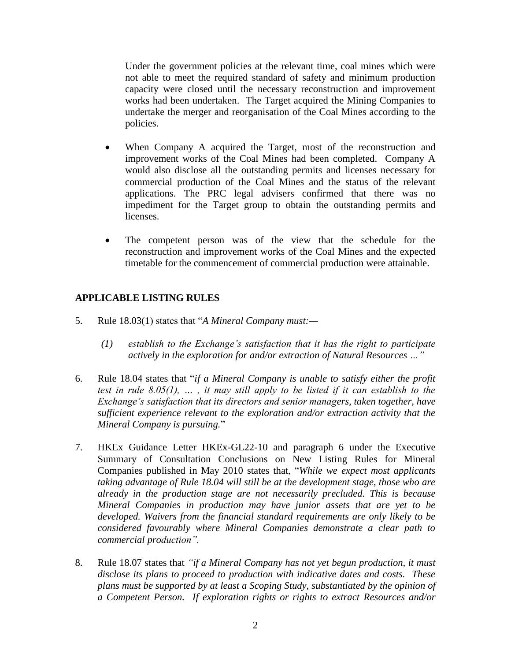Under the government policies at the relevant time, coal mines which were not able to meet the required standard of safety and minimum production capacity were closed until the necessary reconstruction and improvement works had been undertaken. The Target acquired the Mining Companies to undertake the merger and reorganisation of the Coal Mines according to the policies.

- When Company A acquired the Target, most of the reconstruction and improvement works of the Coal Mines had been completed. Company A would also disclose all the outstanding permits and licenses necessary for commercial production of the Coal Mines and the status of the relevant applications. The PRC legal advisers confirmed that there was no impediment for the Target group to obtain the outstanding permits and licenses.
- The competent person was of the view that the schedule for the reconstruction and improvement works of the Coal Mines and the expected timetable for the commencement of commercial production were attainable.

# **APPLICABLE LISTING RULES**

- 5. Rule 18.03(1) states that "*A Mineral Company must:—*
	- *(1) establish to the Exchange's satisfaction that it has the right to participate actively in the exploration for and/or extraction of Natural Resources …"*
- 6. Rule 18.04 states that "*if a Mineral Company is unable to satisfy either the profit test in rule 8.05(1), … , it may still apply to be listed if it can establish to the Exchange's satisfaction that its directors and senior managers, taken together, have sufficient experience relevant to the exploration and/or extraction activity that the Mineral Company is pursuing.*"
- 7. HKEx Guidance Letter HKEx-GL22-10 and paragraph 6 under the Executive Summary of Consultation Conclusions on New Listing Rules for Mineral Companies published in May 2010 states that, "*While we expect most applicants taking advantage of Rule 18.04 will still be at the development stage, those who are already in the production stage are not necessarily precluded. This is because Mineral Companies in production may have junior assets that are yet to be developed. Waivers from the financial standard requirements are only likely to be considered favourably where Mineral Companies demonstrate a clear path to commercial production".*
- 8. Rule 18.07 states that *"if a Mineral Company has not yet begun production, it must disclose its plans to proceed to production with indicative dates and costs. These plans must be supported by at least a Scoping Study, substantiated by the opinion of a Competent Person. If exploration rights or rights to extract Resources and/or*